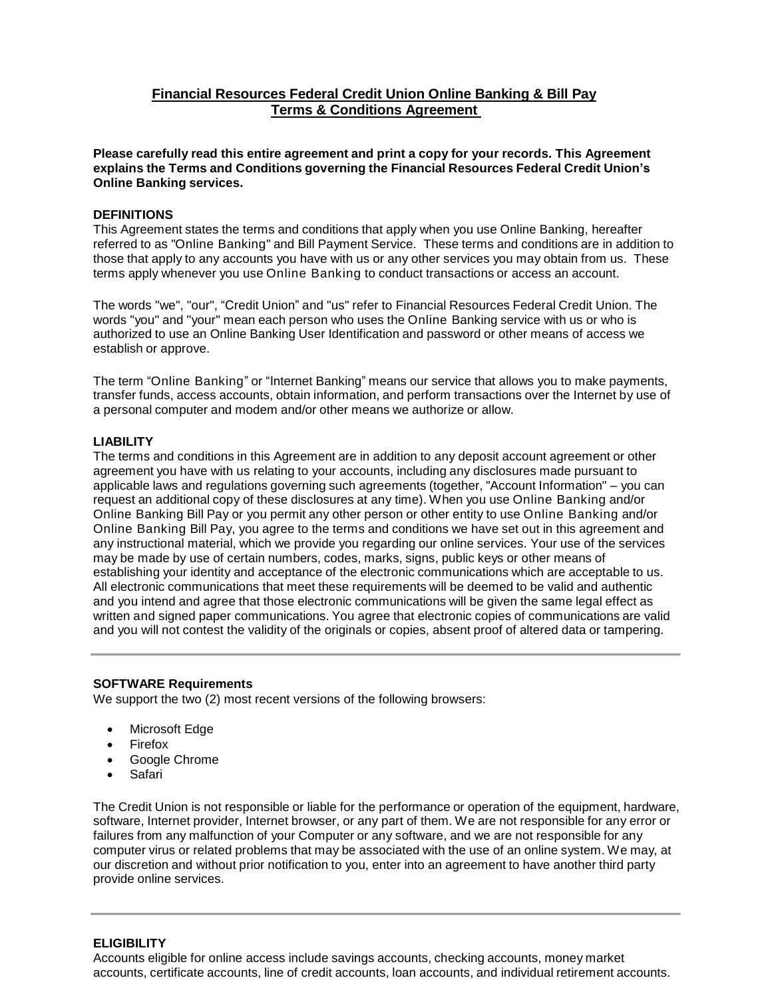# **Financial Resources Federal Credit Union Online Banking & Bill Pay Terms & Conditions Agreement**

**Please carefully read this entire agreement and print a copy for your records. This Agreement explains the Terms and Conditions governing the Financial Resources Federal Credit Union's Online Banking services.**

## **DEFINITIONS**

This Agreement states the terms and conditions that apply when you use Online Banking, hereafter referred to as "Online Banking" and Bill Payment Service. These terms and conditions are in addition to those that apply to any accounts you have with us or any other services you may obtain from us. These terms apply whenever you use Online Banking to conduct transactions or access an account.

The words "we", "our", "Credit Union" and "us" refer to Financial Resources Federal Credit Union. The words "you" and "your" mean each person who uses the Online Banking service with us or who is authorized to use an Online Banking User Identification and password or other means of access we establish or approve.

The term "Online Banking" or "Internet Banking" means our service that allows you to make payments, transfer funds, access accounts, obtain information, and perform transactions over the Internet by use of a personal computer and modem and/or other means we authorize or allow.

#### **LIABILITY**

The terms and conditions in this Agreement are in addition to any deposit account agreement or other agreement you have with us relating to your accounts, including any disclosures made pursuant to applicable laws and regulations governing such agreements (together, "Account Information" – you can request an additional copy of these disclosures at any time). When you use Online Banking and/or Online Banking Bill Pay or you permit any other person or other entity to use Online Banking and/or Online Banking Bill Pay, you agree to the terms and conditions we have set out in this agreement and any instructional material, which we provide you regarding our online services. Your use of the services may be made by use of certain numbers, codes, marks, signs, public keys or other means of establishing your identity and acceptance of the electronic communications which are acceptable to us. All electronic communications that meet these requirements will be deemed to be valid and authentic and you intend and agree that those electronic communications will be given the same legal effect as written and signed paper communications. You agree that electronic copies of communications are valid and you will not contest the validity of the originals or copies, absent proof of altered data or tampering.

#### **SOFTWARE Requirements**

We support the two (2) most recent versions of the following browsers:

- Microsoft Edge
- **Firefox**
- Google Chrome
- Safari

The Credit Union is not responsible or liable for the performance or operation of the equipment, hardware, software, Internet provider, Internet browser, or any part of them. We are not responsible for any error or failures from any malfunction of your Computer or any software, and we are not responsible for any computer virus or related problems that may be associated with the use of an online system. We may, at our discretion and without prior notification to you, enter into an agreement to have another third party provide online services.

## **ELIGIBILITY**

Accounts eligible for online access include savings accounts, checking accounts, money market accounts, certificate accounts, line of credit accounts, loan accounts, and individual retirement accounts.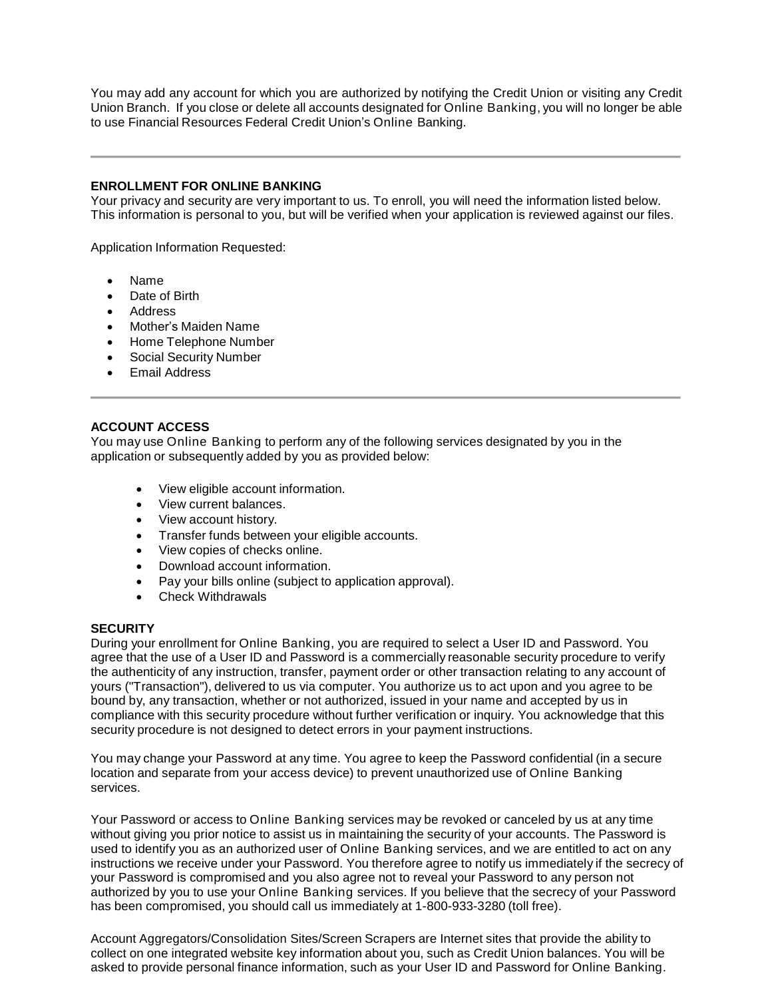You may add any account for which you are authorized by notifying the Credit Union or visiting any Credit Union Branch. If you close or delete all accounts designated for Online Banking, you will no longer be able to use Financial Resources Federal Credit Union's Online Banking.

## **ENROLLMENT FOR ONLINE BANKING**

Your privacy and security are very important to us. To enroll, you will need the information listed below. This information is personal to you, but will be verified when your application is reviewed against our files.

Application Information Requested:

- Name
- Date of Birth
- Address
- Mother's Maiden Name
- Home Telephone Number
- Social Security Number
- Email Address

## **ACCOUNT ACCESS**

You may use Online Banking to perform any of the following services designated by you in the application or subsequently added by you as provided below:

- View eligible account information.
- View current balances.
- View account history.
- Transfer funds between your eligible accounts.
- View copies of checks online.
- Download account information.
- Pay your bills online (subject to application approval).
- Check Withdrawals

#### **SECURITY**

During your enrollment for Online Banking, you are required to select a User ID and Password. You agree that the use of a User ID and Password is a commercially reasonable security procedure to verify the authenticity of any instruction, transfer, payment order or other transaction relating to any account of yours ("Transaction"), delivered to us via computer. You authorize us to act upon and you agree to be bound by, any transaction, whether or not authorized, issued in your name and accepted by us in compliance with this security procedure without further verification or inquiry. You acknowledge that this security procedure is not designed to detect errors in your payment instructions.

You may change your Password at any time. You agree to keep the Password confidential (in a secure location and separate from your access device) to prevent unauthorized use of Online Banking services.

Your Password or access to Online Banking services may be revoked or canceled by us at any time without giving you prior notice to assist us in maintaining the security of your accounts. The Password is used to identify you as an authorized user of Online Banking services, and we are entitled to act on any instructions we receive under your Password. You therefore agree to notify us immediately if the secrecy of your Password is compromised and you also agree not to reveal your Password to any person not authorized by you to use your Online Banking services. If you believe that the secrecy of your Password has been compromised, you should call us immediately at 1-800-933-3280 (toll free).

Account Aggregators/Consolidation Sites/Screen Scrapers are Internet sites that provide the ability to collect on one integrated website key information about you, such as Credit Union balances. You will be asked to provide personal finance information, such as your User ID and Password for Online Banking.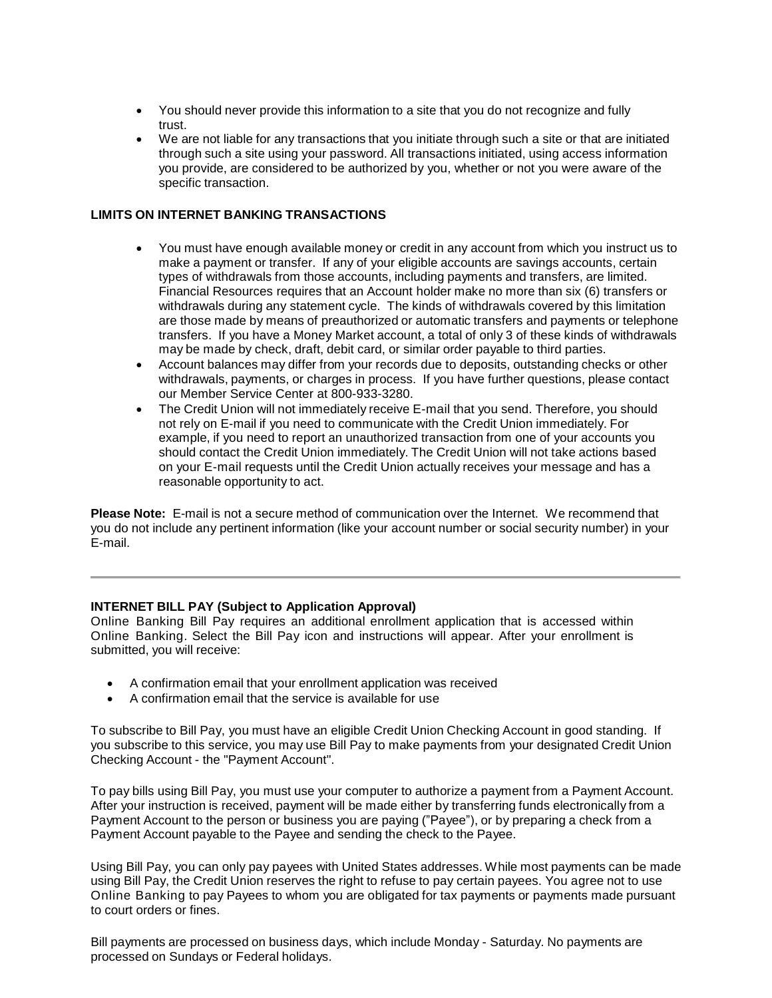- You should never provide this information to a site that you do not recognize and fully trust.
- We are not liable for any transactions that you initiate through such a site or that are initiated through such a site using your password. All transactions initiated, using access information you provide, are considered to be authorized by you, whether or not you were aware of the specific transaction.

# **LIMITS ON INTERNET BANKING TRANSACTIONS**

- You must have enough available money or credit in any account from which you instruct us to make a payment or transfer. If any of your eligible accounts are savings accounts, certain types of withdrawals from those accounts, including payments and transfers, are limited. Financial Resources requires that an Account holder make no more than six (6) transfers or withdrawals during any statement cycle. The kinds of withdrawals covered by this limitation are those made by means of preauthorized or automatic transfers and payments or telephone transfers. If you have a Money Market account, a total of only 3 of these kinds of withdrawals may be made by check, draft, debit card, or similar order payable to third parties.
- Account balances may differ from your records due to deposits, outstanding checks or other withdrawals, payments, or charges in process. If you have further questions, please contact our Member Service Center at 800-933-3280.
- The Credit Union will not immediately receive E-mail that you send. Therefore, you should not rely on E-mail if you need to communicate with the Credit Union immediately. For example, if you need to report an unauthorized transaction from one of your accounts you should contact the Credit Union immediately. The Credit Union will not take actions based on your E-mail requests until the Credit Union actually receives your message and has a reasonable opportunity to act.

**Please Note:** E-mail is not a secure method of communication over the Internet. We recommend that you do not include any pertinent information (like your account number or social security number) in your E-mail.

## **INTERNET BILL PAY (Subject to Application Approval)**

Online Banking Bill Pay requires an additional enrollment application that is accessed within Online Banking. Select the Bill Pay icon and instructions will appear. After your enrollment is submitted, you will receive:

- A confirmation email that your enrollment application was received
- A confirmation email that the service is available for use

To subscribe to Bill Pay, you must have an eligible Credit Union Checking Account in good standing. If you subscribe to this service, you may use Bill Pay to make payments from your designated Credit Union Checking Account - the "Payment Account".

To pay bills using Bill Pay, you must use your computer to authorize a payment from a Payment Account. After your instruction is received, payment will be made either by transferring funds electronically from a Payment Account to the person or business you are paying ("Payee"), or by preparing a check from a Payment Account payable to the Payee and sending the check to the Payee.

Using Bill Pay, you can only pay payees with United States addresses. While most payments can be made using Bill Pay, the Credit Union reserves the right to refuse to pay certain payees. You agree not to use Online Banking to pay Payees to whom you are obligated for tax payments or payments made pursuant to court orders or fines.

Bill payments are processed on business days, which include Monday - Saturday. No payments are processed on Sundays or Federal holidays.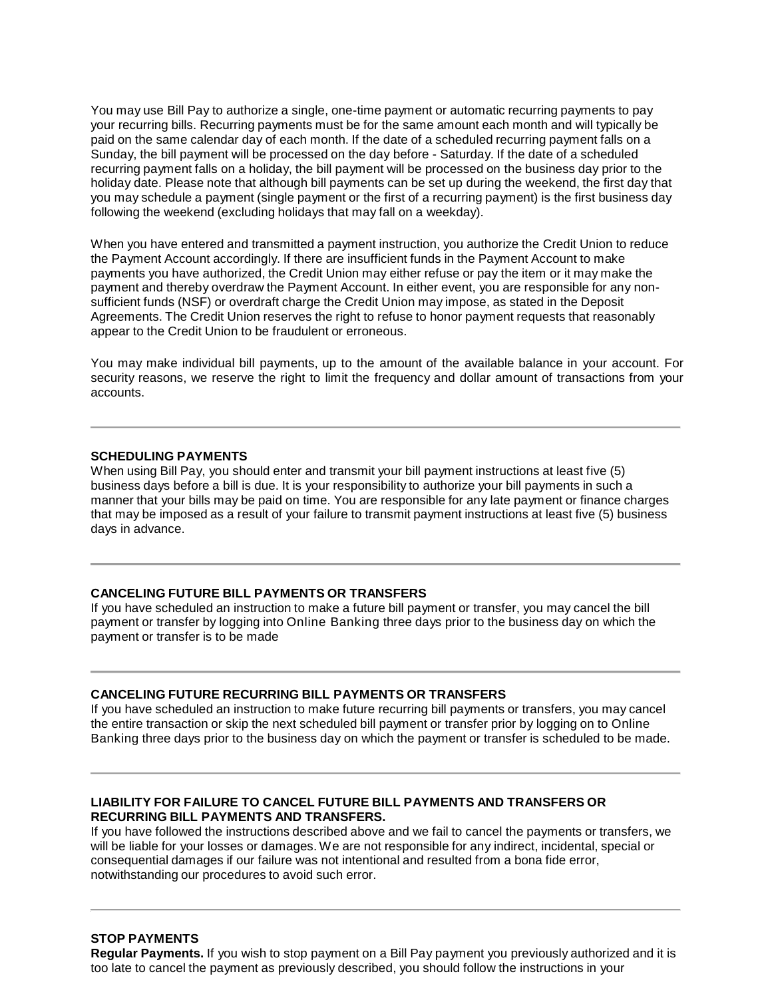You may use Bill Pay to authorize a single, one-time payment or automatic recurring payments to pay your recurring bills. Recurring payments must be for the same amount each month and will typically be paid on the same calendar day of each month. If the date of a scheduled recurring payment falls on a Sunday, the bill payment will be processed on the day before - Saturday. If the date of a scheduled recurring payment falls on a holiday, the bill payment will be processed on the business day prior to the holiday date. Please note that although bill payments can be set up during the weekend, the first day that you may schedule a payment (single payment or the first of a recurring payment) is the first business day following the weekend (excluding holidays that may fall on a weekday).

When you have entered and transmitted a payment instruction, you authorize the Credit Union to reduce the Payment Account accordingly. If there are insufficient funds in the Payment Account to make payments you have authorized, the Credit Union may either refuse or pay the item or it may make the payment and thereby overdraw the Payment Account. In either event, you are responsible for any nonsufficient funds (NSF) or overdraft charge the Credit Union may impose, as stated in the Deposit Agreements. The Credit Union reserves the right to refuse to honor payment requests that reasonably appear to the Credit Union to be fraudulent or erroneous.

You may make individual bill payments, up to the amount of the available balance in your account. For security reasons, we reserve the right to limit the frequency and dollar amount of transactions from your accounts.

#### **SCHEDULING PAYMENTS**

When using Bill Pay, you should enter and transmit your bill payment instructions at least five (5) business days before a bill is due. It is your responsibility to authorize your bill payments in such a manner that your bills may be paid on time. You are responsible for any late payment or finance charges that may be imposed as a result of your failure to transmit payment instructions at least five (5) business days in advance.

#### **CANCELING FUTURE BILL PAYMENTS OR TRANSFERS**

If you have scheduled an instruction to make a future bill payment or transfer, you may cancel the bill payment or transfer by logging into Online Banking three days prior to the business day on which the payment or transfer is to be made

## **CANCELING FUTURE RECURRING BILL PAYMENTS OR TRANSFERS**

If you have scheduled an instruction to make future recurring bill payments or transfers, you may cancel the entire transaction or skip the next scheduled bill payment or transfer prior by logging on to Online Banking three days prior to the business day on which the payment or transfer is scheduled to be made.

## **LIABILITY FOR FAILURE TO CANCEL FUTURE BILL PAYMENTS AND TRANSFERS OR RECURRING BILL PAYMENTS AND TRANSFERS.**

If you have followed the instructions described above and we fail to cancel the payments or transfers, we will be liable for your losses or damages. We are not responsible for any indirect, incidental, special or consequential damages if our failure was not intentional and resulted from a bona fide error, notwithstanding our procedures to avoid such error.

## **STOP PAYMENTS**

**Regular Payments.** If you wish to stop payment on a Bill Pay payment you previously authorized and it is too late to cancel the payment as previously described, you should follow the instructions in your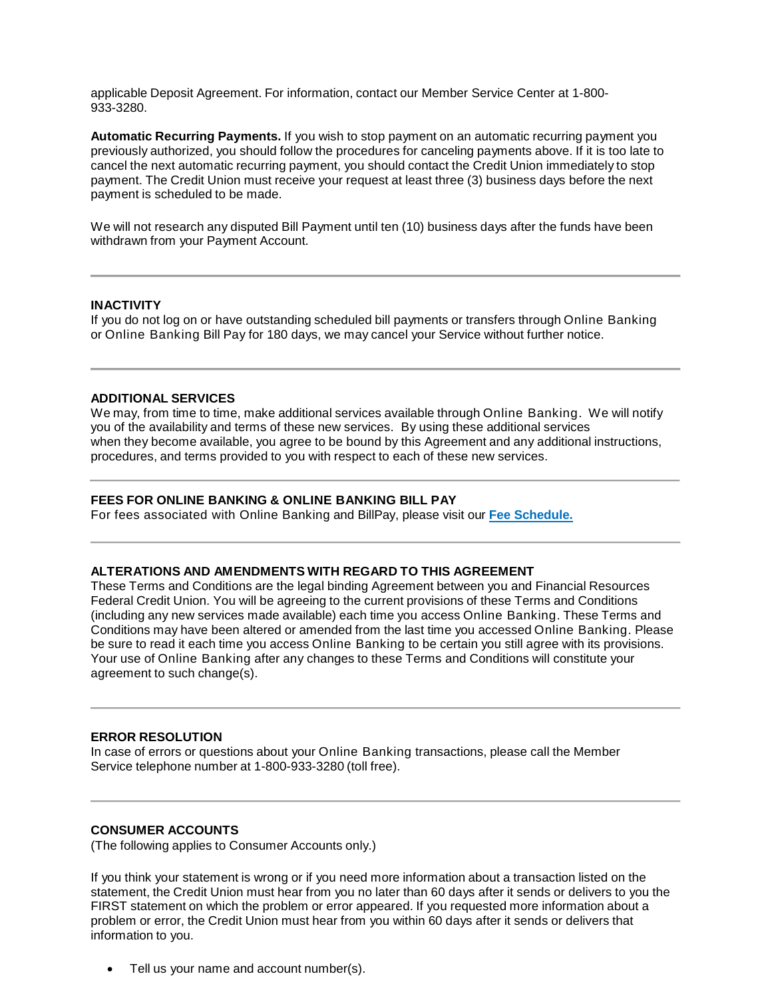applicable Deposit Agreement. For information, contact our Member Service Center at 1-800- 933-3280.

**Automatic Recurring Payments.** If you wish to stop payment on an automatic recurring payment you previously authorized, you should follow the procedures for canceling payments above. If it is too late to cancel the next automatic recurring payment, you should contact the Credit Union immediately to stop payment. The Credit Union must receive your request at least three (3) business days before the next payment is scheduled to be made.

We will not research any disputed Bill Payment until ten (10) business days after the funds have been withdrawn from your Payment Account.

## **INACTIVITY**

If you do not log on or have outstanding scheduled bill payments or transfers through Online Banking or Online Banking Bill Pay for 180 days, we may cancel your Service without further notice.

#### **ADDITIONAL SERVICES**

We may, from time to time, make additional services available through Online Banking. We will notify you of the availability and terms of these new services. By using these additional services when they become available, you agree to be bound by this Agreement and any additional instructions, procedures, and terms provided to you with respect to each of these new services.

#### **FEES FOR ONLINE BANKING & ONLINE BANKING BILL PAY**

For fees associated with Online Banking and BillPay, please visit our **Fee Schedule.**

#### **ALTERATIONS AND AMENDMENTS WITH REGARD TO THIS AGREEMENT**

These Terms and Conditions are the legal binding Agreement between you and Financial Resources Federal Credit Union. You will be agreeing to the current provisions of these Terms and Conditions (including any new services made available) each time you access Online Banking. These Terms and Conditions may have been altered or amended from the last time you accessed Online Banking. Please be sure to read it each time you access Online Banking to be certain you still agree with its provisions. Your use of Online Banking after any changes to these Terms and Conditions will constitute your agreement to such change(s).

#### **ERROR RESOLUTION**

In case of errors or questions about your Online Banking transactions, please call the Member Service telephone number at 1-800-933-3280 (toll free).

## **CONSUMER ACCOUNTS**

(The following applies to Consumer Accounts only.)

If you think your statement is wrong or if you need more information about a transaction listed on the statement, the Credit Union must hear from you no later than 60 days after it sends or delivers to you the FIRST statement on which the problem or error appeared. If you requested more information about a problem or error, the Credit Union must hear from you within 60 days after it sends or delivers that information to you.

• Tell us your name and account number(s).